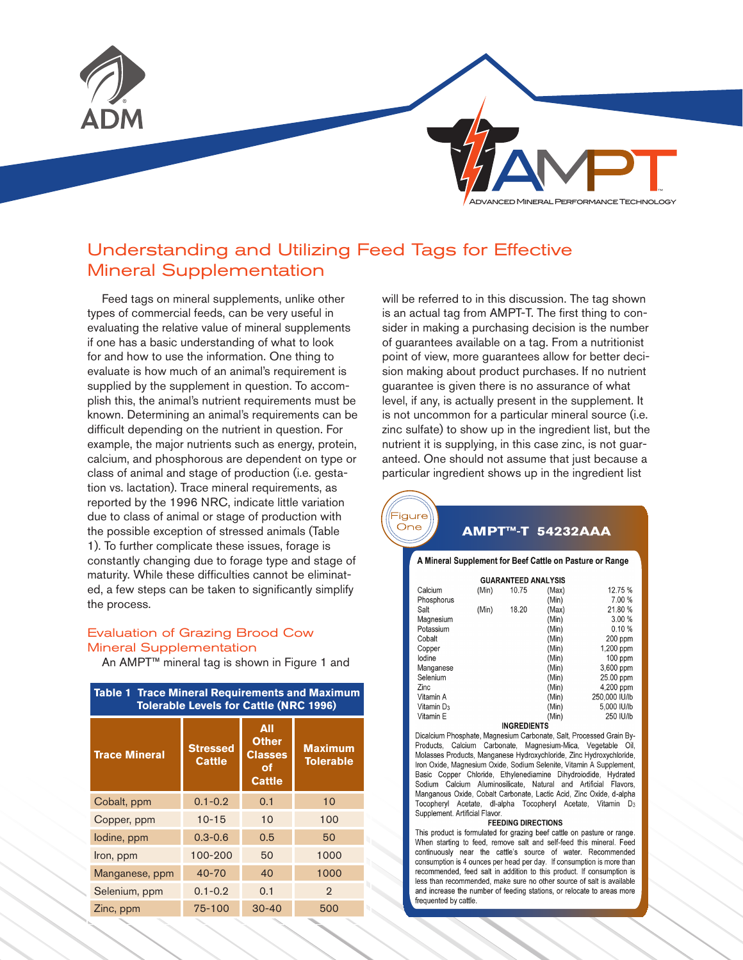

# Understanding and Utilizing Feed Tags for Effective Mineral Supplementation

Feed tags on mineral supplements, unlike other types of commercial feeds, can be very useful in evaluating the relative value of mineral supplements if one has a basic understanding of what to look for and how to use the information. One thing to evaluate is how much of an animal's requirement is supplied by the supplement in question. To accomplish this, the animal's nutrient requirements must be known. Determining an animal's requirements can be difficult depending on the nutrient in question. For example, the major nutrients such as energy, protein, calcium, and phosphorous are dependent on type or class of animal and stage of production (i.e. gestation vs. lactation). Trace mineral requirements, as reported by the 1996 NRC, indicate little variation due to class of animal or stage of production with the possible exception of stressed animals (Table 1). To further complicate these issues, forage is constantly changing due to forage type and stage of maturity. While these difficulties cannot be eliminated, a few steps can be taken to significantly simplify the process. Figure

# Evaluation of Grazing Brood Cow Mineral Supplementation

An AMPT™ mineral tag is shown in Figure 1 and

| <b>Table 1 Trace Mineral Requirements and Maximum</b><br><b>Tolerable Levels for Cattle (NRC 1996)</b> |                                  |                                                              |                                    |  |  |  |
|--------------------------------------------------------------------------------------------------------|----------------------------------|--------------------------------------------------------------|------------------------------------|--|--|--|
| <b>Trace Mineral</b>                                                                                   | <b>Stressed</b><br><b>Cattle</b> | All<br><b>Other</b><br><b>Classes</b><br>оf<br><b>Cattle</b> | <b>Maximum</b><br><b>Tolerable</b> |  |  |  |
| Cobalt, ppm                                                                                            | $0.1 - 0.2$                      | 0.1                                                          | 10                                 |  |  |  |
| Copper, ppm                                                                                            | $10 - 15$                        | 10                                                           | 100                                |  |  |  |
| lodine, ppm                                                                                            | $0.3 - 0.6$                      | 0.5                                                          | 50                                 |  |  |  |
| Iron, ppm                                                                                              | 100-200                          | 50                                                           | 1000                               |  |  |  |
| Manganese, ppm                                                                                         | 40-70                            | 40                                                           | 1000                               |  |  |  |
| Selenium, ppm                                                                                          | $0.1 - 0.2$                      | 0.1                                                          | $\mathfrak{D}$                     |  |  |  |
| Zinc, ppm                                                                                              | 75-100                           | $30 - 40$                                                    | 500                                |  |  |  |

will be referred to in this discussion. The tag shown is an actual tag from AMPT-T. The first thing to consider in making a purchasing decision is the number of guarantees available on a tag. From a nutritionist point of view, more guarantees allow for better decision making about product purchases. If no nutrient guarantee is given there is no assurance of what level, if any, is actually present in the supplement. It is not uncommon for a particular mineral source (i.e. zinc sulfate) to show up in the ingredient list, but the nutrient it is supplying, in this case zinc, is not guaranteed. One should not assume that just because a particular ingredient shows up in the ingredient list

# Figure One

# AMPT™-T 54232AAA

#### A Mineral Supplement for Beef Cattle on Pasture or Range

|                        |       | <b>GUARANTEED ANALYSIS</b> |       |               |  |
|------------------------|-------|----------------------------|-------|---------------|--|
| Calcium                | (Min) | 10.75                      | (Max) | 12.75 %       |  |
| Phosphorus             |       |                            | (Min) | 7.00 %        |  |
| Salt                   | (Min) | 18.20                      | (Max) | 21.80%        |  |
| Magnesium              |       |                            | (Min) | 3.00%         |  |
| Potassium              |       |                            | (Min) | 0.10%         |  |
| Cobalt                 |       |                            | (Min) | 200 ppm       |  |
| Copper                 |       |                            | (Min) | 1,200 ppm     |  |
| lodine                 |       |                            | (Min) | $100$ ppm     |  |
| Manganese              |       |                            | (Min) | 3,600 ppm     |  |
| Selenium               |       |                            | (Min) | 25.00 ppm     |  |
| Zinc                   |       |                            | (Min) | 4,200 ppm     |  |
| Vitamin A              |       |                            | (Min) | 250,000 IU/lb |  |
| Vitamin D <sub>3</sub> |       |                            | (Min) | 5,000 IU/lb   |  |
| Vitamin E              |       |                            | (Min) | 250 IU/lb     |  |
| <b>INGREDIENTS</b>     |       |                            |       |               |  |

Dicalcium Phosphate, Magnesium Carbonate, Salt, Processed Grain By-Products, Calcium Carbonate, Magnesium-Mica, Vegetable Oil, Molasses Products, Manganese Hydroxychloride, Zinc Hydroxychloride, Iron Oxide, Magnesium Oxide, Sodium Selenite, Vitamin A Supplement, Basic Copper Chloride, Ethylenediamine Dihydroiodide, Hydrated Sodium Calcium Aluminosilicate, Natural and Artificial Flavors, Manganous Oxide, Cobalt Carbonate, Lactic Acid, Zinc Oxide, d-alpha Tocopheryl Acetate, dl-alpha Tocopheryl Acetate, Vitamin D<sub>3</sub> Supplement. Artificial Flavor.

#### **FEEDING DIRECTIONS**

This product is formulated for grazing beef cattle on pasture or range. When starting to feed, remove salt and self-feed this mineral. Feed continuously near the cattle's source of water. Recommended consumption is 4 ounces per head per day. If consumption is more than recommended, feed salt in addition to this product. If consumption is less than recommended, make sure no other source of salt is available and increase the number of feeding stations, or relocate to areas more frequented by cattle.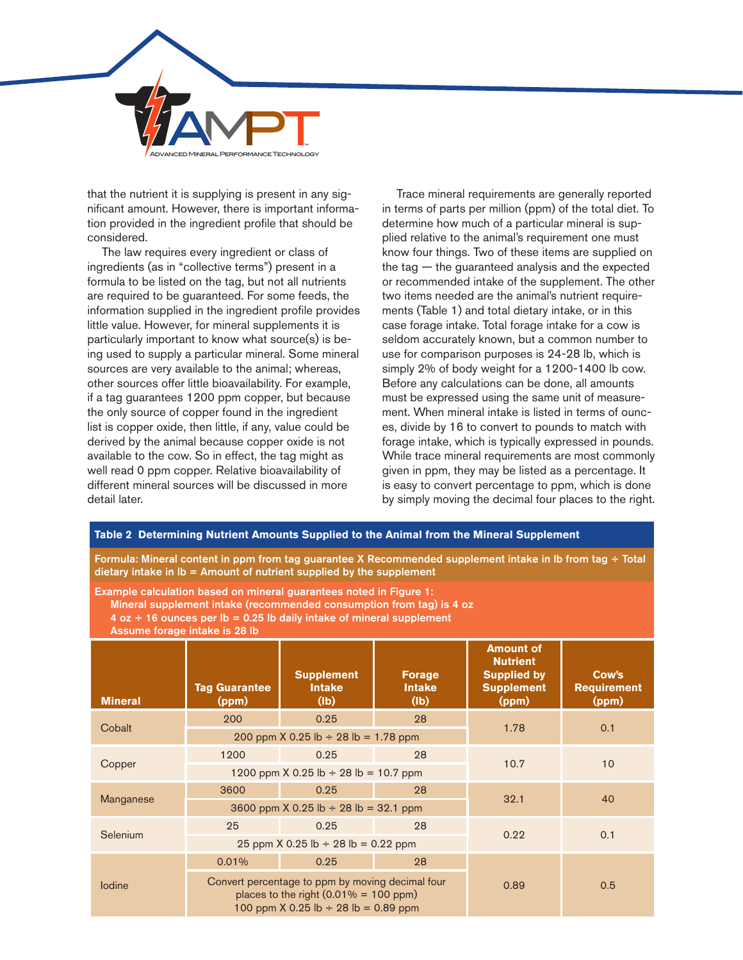

that the nutrient it is supplying is present in any significant amount. However, there is important information provided in the ingredient profile that should be considered.

The law requires every ingredient or class of ingredients (as in "collective terms") present in a formula to be listed on the tag, but not all nutrients are required to be guaranteed. For some feeds, the information supplied in the ingredient profile provides little value. However, for mineral supplements it is particularly important to know what source(s) is being used to supply a particular mineral. Some mineral sources are very available to the animal; whereas, other sources offer little bioavailability. For example, if a tag guarantees 1200 ppm copper, but because the only source of copper found in the ingredient list is copper oxide, then little, if any, value could be derived by the animal because copper oxide is not available to the cow. So in effect, the tag might as well read 0 ppm copper. Relative bioavailability of different mineral sources will be discussed in more detail later.

Trace mineral requirements are generally reported in terms of parts per million (ppm) of the total diet. To determine how much of a particular mineral is supplied relative to the animal's requirement one must know four things. Two of these items are supplied on the tag — the guaranteed analysis and the expected or recommended intake of the supplement. The other two items needed are the animal's nutrient requirements (Table 1) and total dietary intake, or in this case forage intake. Total forage intake for a cow is seldom accurately known, but a common number to use for comparison purposes is 24-28 lb, which is simply 2% of body weight for a 1200-1400 lb cow. Before any calculations can be done, all amounts must be expressed using the same unit of measurement. When mineral intake is listed in terms of ounces, divide by 16 to convert to pounds to match with forage intake, which is typically expressed in pounds. While trace mineral requirements are most commonly given in ppm, they may be listed as a percentage. It is easy to convert percentage to ppm, which is done by simply moving the decimal four places to the right.

## **Table 2 Determining Nutrient Amounts Supplied to the Animal from the Mineral Supplement**

Formula: Mineral content in ppm from tag guarantee X Recommended supplement intake in lb from tag ÷ Total dietary intake in  $Ib =$  Amount of nutrient supplied by the supplement

Example calculation based on mineral guarantees noted in Figure 1: Mineral supplement intake (recommended consumption from tag) is 4 oz  $4$  oz  $\div$  16 ounces per lb = 0.25 lb daily intake of mineral supplement Assume forage intake is 28 lb

| <b>Mineral</b>                                       | <b>Tag Guarantee</b><br>(ppm)                                                                                                             | <b>Supplement</b><br><b>Intake</b><br>(lb) | <b>Forage</b><br><b>Intake</b><br>(lb) | <b>Amount of</b><br><b>Nutrient</b><br><b>Supplied by</b><br><b>Supplement</b><br>(ppm) | Cow's<br><b>Requirement</b><br>(ppm) |
|------------------------------------------------------|-------------------------------------------------------------------------------------------------------------------------------------------|--------------------------------------------|----------------------------------------|-----------------------------------------------------------------------------------------|--------------------------------------|
| Cobalt                                               | 200                                                                                                                                       | 0.25                                       | 28                                     | 1.78                                                                                    | 0.1                                  |
| 200 ppm X 0.25 lb $\div$ 28 lb = 1.78 ppm            |                                                                                                                                           |                                            |                                        |                                                                                         |                                      |
|                                                      | 1200                                                                                                                                      | 0.25                                       | 28                                     | 10.7                                                                                    | 10                                   |
| Copper<br>1200 ppm X 0.25 lb $\div$ 28 lb = 10.7 ppm |                                                                                                                                           |                                            |                                        |                                                                                         |                                      |
|                                                      | 3600                                                                                                                                      | 0.25                                       | 28                                     | 32.1                                                                                    |                                      |
| Manganese                                            | 3600 ppm X 0.25 lb $\div$ 28 lb = 32.1 ppm                                                                                                |                                            |                                        |                                                                                         | 40                                   |
|                                                      | 25                                                                                                                                        | 0.25                                       | 28                                     |                                                                                         |                                      |
| Selenium                                             |                                                                                                                                           | 25 ppm X 0.25 lb $\div$ 28 lb = 0.22 ppm   | 0.22                                   | 0.1                                                                                     |                                      |
|                                                      | 0.01%                                                                                                                                     | 0.25                                       | 28                                     |                                                                                         |                                      |
| lodine                                               | Convert percentage to ppm by moving decimal four<br>places to the right $(0.01\% = 100$ ppm)<br>100 ppm X 0.25 lb $\div$ 28 lb = 0.89 ppm |                                            |                                        | 0.89                                                                                    | 0.5                                  |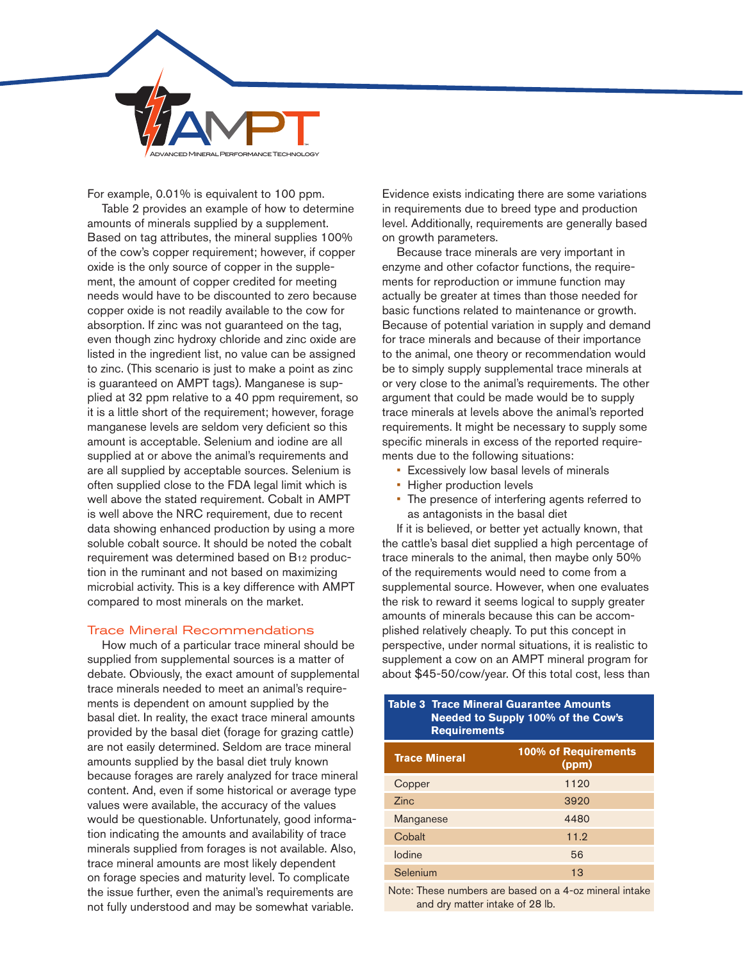

For example, 0.01% is equivalent to 100 ppm.

Table 2 provides an example of how to determine amounts of minerals supplied by a supplement. Based on tag attributes, the mineral supplies 100% of the cow's copper requirement; however, if copper oxide is the only source of copper in the supplement, the amount of copper credited for meeting needs would have to be discounted to zero because copper oxide is not readily available to the cow for absorption. If zinc was not guaranteed on the tag, even though zinc hydroxy chloride and zinc oxide are listed in the ingredient list, no value can be assigned to zinc. (This scenario is just to make a point as zinc is guaranteed on AMPT tags). Manganese is supplied at 32 ppm relative to a 40 ppm requirement, so it is a little short of the requirement; however, forage manganese levels are seldom very deficient so this amount is acceptable. Selenium and iodine are all supplied at or above the animal's requirements and are all supplied by acceptable sources. Selenium is often supplied close to the FDA legal limit which is well above the stated requirement. Cobalt in AMPT is well above the NRC requirement, due to recent data showing enhanced production by using a more soluble cobalt source. It should be noted the cobalt requirement was determined based on B12 production in the ruminant and not based on maximizing microbial activity. This is a key difference with AMPT compared to most minerals on the market.

## Trace Mineral Recommendations

How much of a particular trace mineral should be supplied from supplemental sources is a matter of debate. Obviously, the exact amount of supplemental trace minerals needed to meet an animal's requirements is dependent on amount supplied by the basal diet. In reality, the exact trace mineral amounts provided by the basal diet (forage for grazing cattle) are not easily determined. Seldom are trace mineral amounts supplied by the basal diet truly known because forages are rarely analyzed for trace mineral content. And, even if some historical or average type values were available, the accuracy of the values would be questionable. Unfortunately, good information indicating the amounts and availability of trace minerals supplied from forages is not available. Also, trace mineral amounts are most likely dependent on forage species and maturity level. To complicate the issue further, even the animal's requirements are not fully understood and may be somewhat variable.

Evidence exists indicating there are some variations in requirements due to breed type and production level. Additionally, requirements are generally based on growth parameters.

Because trace minerals are very important in enzyme and other cofactor functions, the requirements for reproduction or immune function may actually be greater at times than those needed for basic functions related to maintenance or growth. Because of potential variation in supply and demand for trace minerals and because of their importance to the animal, one theory or recommendation would be to simply supply supplemental trace minerals at or very close to the animal's requirements. The other argument that could be made would be to supply trace minerals at levels above the animal's reported requirements. It might be necessary to supply some specific minerals in excess of the reported requirements due to the following situations:

- Excessively low basal levels of minerals
- Higher production levels
- The presence of interfering agents referred to as antagonists in the basal diet

If it is believed, or better yet actually known, that the cattle's basal diet supplied a high percentage of trace minerals to the animal, then maybe only 50% of the requirements would need to come from a supplemental source. However, when one evaluates the risk to reward it seems logical to supply greater amounts of minerals because this can be accomplished relatively cheaply. To put this concept in perspective, under normal situations, it is realistic to supplement a cow on an AMPT mineral program for about \$45-50/cow/year. Of this total cost, less than

| <b>Table 3 Trace Mineral Guarantee Amounts</b><br><b>Needed to Supply 100% of the Cow's</b><br><b>Requirements</b> |                                      |  |  |
|--------------------------------------------------------------------------------------------------------------------|--------------------------------------|--|--|
| <b>Trace Mineral</b>                                                                                               | <b>100% of Requirements</b><br>(ppm) |  |  |
| Copper                                                                                                             | 1120                                 |  |  |
| Zinc.                                                                                                              | 3920                                 |  |  |
| Manganese                                                                                                          | 4480                                 |  |  |
| Cobalt                                                                                                             | 11.9                                 |  |  |
| lodine                                                                                                             | 56                                   |  |  |
| Selenium                                                                                                           | 13                                   |  |  |

Note: These numbers are based on a 4-oz mineral intake and dry matter intake of 28 lb.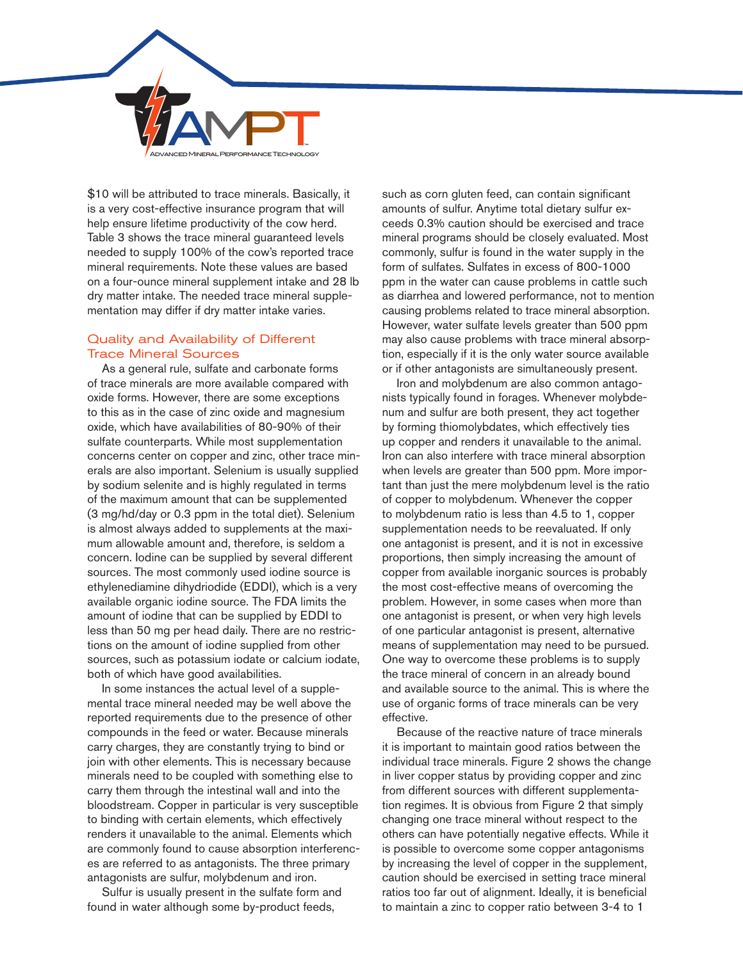

\$10 will be attributed to trace minerals. Basically, it is a very cost-effective insurance program that will help ensure lifetime productivity of the cow herd. Table 3 shows the trace mineral guaranteed levels needed to supply 100% of the cow's reported trace mineral requirements. Note these values are based on a four-ounce mineral supplement intake and 28 lb dry matter intake. The needed trace mineral supplementation may differ if dry matter intake varies.

# Quality and Availability of Different Trace Mineral Sources

As a general rule, sulfate and carbonate forms of trace minerals are more available compared with oxide forms. However, there are some exceptions to this as in the case of zinc oxide and magnesium oxide, which have availabilities of 80-90% of their sulfate counterparts. While most supplementation concerns center on copper and zinc, other trace minerals are also important. Selenium is usually supplied by sodium selenite and is highly regulated in terms of the maximum amount that can be supplemented (3 mg/hd/day or 0.3 ppm in the total diet). Selenium is almost always added to supplements at the maximum allowable amount and, therefore, is seldom a concern. Iodine can be supplied by several different sources. The most commonly used iodine source is ethylenediamine dihydriodide (EDDI), which is a very available organic iodine source. The FDA limits the amount of iodine that can be supplied by EDDI to less than 50 mg per head daily. There are no restrictions on the amount of iodine supplied from other sources, such as potassium iodate or calcium iodate, both of which have good availabilities.

In some instances the actual level of a supplemental trace mineral needed may be well above the reported requirements due to the presence of other compounds in the feed or water. Because minerals carry charges, they are constantly trying to bind or join with other elements. This is necessary because minerals need to be coupled with something else to carry them through the intestinal wall and into the bloodstream. Copper in particular is very susceptible to binding with certain elements, which effectively renders it unavailable to the animal. Elements which are commonly found to cause absorption interferences are referred to as antagonists. The three primary antagonists are sulfur, molybdenum and iron.

Sulfur is usually present in the sulfate form and found in water although some by-product feeds,

such as corn gluten feed, can contain significant amounts of sulfur. Anytime total dietary sulfur exceeds 0.3% caution should be exercised and trace mineral programs should be closely evaluated. Most commonly, sulfur is found in the water supply in the form of sulfates. Sulfates in excess of 800-1000 ppm in the water can cause problems in cattle such as diarrhea and lowered performance, not to mention causing problems related to trace mineral absorption. However, water sulfate levels greater than 500 ppm may also cause problems with trace mineral absorption, especially if it is the only water source available or if other antagonists are simultaneously present.

Iron and molybdenum are also common antagonists typically found in forages. Whenever molybdenum and sulfur are both present, they act together by forming thiomolybdates, which effectively ties up copper and renders it unavailable to the animal. Iron can also interfere with trace mineral absorption when levels are greater than 500 ppm. More important than just the mere molybdenum level is the ratio of copper to molybdenum. Whenever the copper to molybdenum ratio is less than 4.5 to 1, copper supplementation needs to be reevaluated. If only one antagonist is present, and it is not in excessive proportions, then simply increasing the amount of copper from available inorganic sources is probably the most cost-effective means of overcoming the problem. However, in some cases when more than one antagonist is present, or when very high levels of one particular antagonist is present, alternative means of supplementation may need to be pursued. One way to overcome these problems is to supply the trace mineral of concern in an already bound and available source to the animal. This is where the use of organic forms of trace minerals can be very effective.

Because of the reactive nature of trace minerals it is important to maintain good ratios between the individual trace minerals. Figure 2 shows the change in liver copper status by providing copper and zinc from different sources with different supplementation regimes. It is obvious from Figure 2 that simply changing one trace mineral without respect to the others can have potentially negative effects. While it is possible to overcome some copper antagonisms by increasing the level of copper in the supplement, caution should be exercised in setting trace mineral ratios too far out of alignment. Ideally, it is beneficial to maintain a zinc to copper ratio between 3-4 to 1